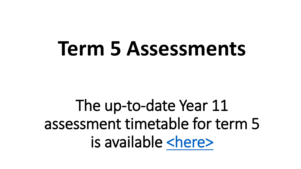## **Term 5 Assessments**

The up-to-date Year 11 assessment timetable for term 5 is available [<here>](https://docs.google.com/document/d/e/2PACX-1vQeyQ2IqC_SnDvuPN6erqJm2SOSFdt2e_Syymrb2WBRkw7VeiftBIL8gSd8eWjaoAOremxMGQd_JH5z/pub)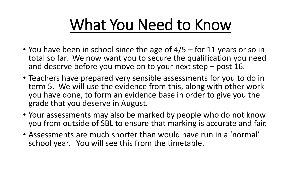## What You Need to Know

- You have been in school since the age of  $4/5$  for 11 years or so in total so far. We now want you to secure the qualification you need and deserve before you move on to your next step – post 16.
- Teachers have prepared very sensible assessments for you to do in term 5. We will use the evidence from this, along with other work you have done, to form an evidence base in order to give you the grade that you deserve in August.
- Your assessments may also be marked by people who do not know you from outside of SBL to ensure that marking is accurate and fair.
- Assessments are much shorter than would have run in a 'normal' school year. You will see this from the timetable.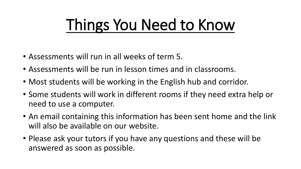## Things You Need to Know

- Assessments will run in all weeks of term 5.
- Assessments will be run in lesson times and in classrooms.
- Most students will be working in the English hub and corridor.
- Some students will work in different rooms if they need extra help or need to use a computer.
- An email containing this information has been sent home and the link will also be available on our website.
- Please ask your tutors if you have any questions and these will be answered as soon as possible.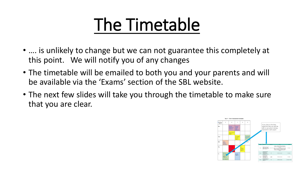## The Timetable

- .... is unlikely to change but we can not guarantee this completely at this point. We will notify you of any changes
- The timetable will be emailed to both you and your parents and will be available via the 'Exams' section of the SBL website.
- The next few slides will take you through the timetable to make sure that you are clear.

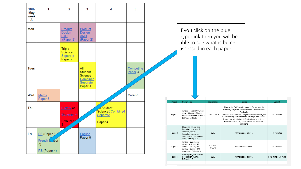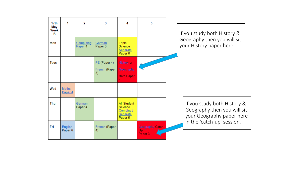| 17 <sub>th</sub><br>May<br>Week<br>в | 1                       | 2                    | 3                                     | Δ                                                                | 5                                                   |  | If you study both History &<br>Geography then you will sit<br>your History paper here   |
|--------------------------------------|-------------------------|----------------------|---------------------------------------|------------------------------------------------------------------|-----------------------------------------------------|--|-----------------------------------------------------------------------------------------|
| Mon                                  |                         | Computing<br>Paper 4 | German<br>Paper 3                     | Triple<br>Science<br>Separate<br>Paper 8                         |                                                     |  |                                                                                         |
| <b>Tues</b>                          |                         |                      | $PE$ (Paper 4)<br>French (Paper<br>3) | History or<br>Geography<br><b>Both Paper</b>                     |                                                     |  |                                                                                         |
| Wed                                  | <b>Maths</b><br>Paper 4 |                      |                                       |                                                                  |                                                     |  |                                                                                         |
| Thu                                  |                         | German<br>Paper 4    |                                       | <b>All Student</b><br>Science<br>Combined<br>Separate<br>Paper 5 |                                                     |  | If you study both History &<br>Geography then you will sit<br>your Geography paper here |
| Fri                                  | English<br>Paper 6      |                      | French (Paper<br>4)                   |                                                                  | <b>Geography Catch-</b><br>Up<br>Paper <sub>3</sub> |  | in the 'catch-up' session.                                                              |